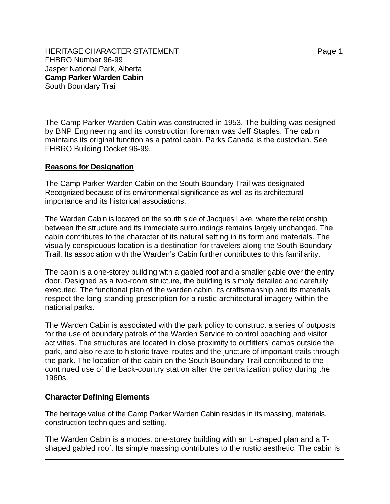HERITAGE CHARACTER STATEMENT FRIELD FOR A STATEMENT AND RAGE 1 FHBRO Number 96-99 Jasper National Park, Alberta **Camp Parker Warden Cabin**  South Boundary Trail

The Camp Parker Warden Cabin was constructed in 1953. The building was designed by BNP Engineering and its construction foreman was Jeff Staples. The cabin maintains its original function as a patrol cabin. Parks Canada is the custodian. See FHBRO Building Docket 96-99.

## **Reasons for Designation**

The Camp Parker Warden Cabin on the South Boundary Trail was designated Recognized because of its environmental significance as well as its architectural importance and its historical associations.

The Warden Cabin is located on the south side of Jacques Lake, where the relationship between the structure and its immediate surroundings remains largely unchanged. The cabin contributes to the character of its natural setting in its form and materials. The visually conspicuous location is a destination for travelers along the South Boundary Trail. Its association with the Warden's Cabin further contributes to this familiarity.

The cabin is a one-storey building with a gabled roof and a smaller gable over the entry door. Designed as a two-room structure, the building is simply detailed and carefully executed. The functional plan of the warden cabin, its craftsmanship and its materials respect the long-standing prescription for a rustic architectural imagery within the national parks.

The Warden Cabin is associated with the park policy to construct a series of outposts for the use of boundary patrols of the Warden Service to control poaching and visitor activities. The structures are located in close proximity to outfitters' camps outside the park, and also relate to historic travel routes and the juncture of important trails through the park. The location of the cabin on the South Boundary Trail contributed to the continued use of the back-country station after the centralization policy during the 1960s.

## **Character Defining Elements**

The heritage value of the Camp Parker Warden Cabin resides in its massing, materials, construction techniques and setting.

The Warden Cabin is a modest one-storey building with an L-shaped plan and a Tshaped gabled roof. Its simple massing contributes to the rustic aesthetic. The cabin is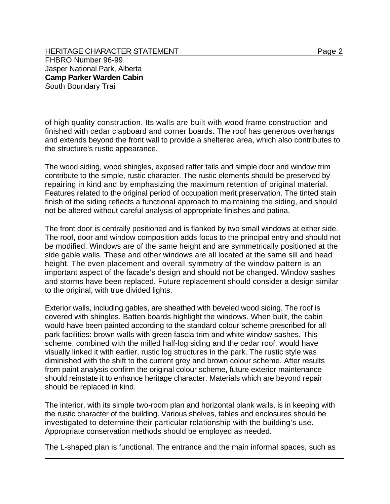HERITAGE CHARACTER STATEMENT FRIELD FOR A STATEMENT AND RAGE 2 FHBRO Number 96-99 Jasper National Park, Alberta **Camp Parker Warden Cabin**  South Boundary Trail

of high quality construction. Its walls are built with wood frame construction and finished with cedar clapboard and corner boards. The roof has generous overhangs and extends beyond the front wall to provide a sheltered area, which also contributes to the structure's rustic appearance.

The wood siding, wood shingles, exposed rafter tails and simple door and window trim contribute to the simple, rustic character. The rustic elements should be preserved by repairing in kind and by emphasizing the maximum retention of original material. Features related to the original period of occupation merit preservation. The tinted stain finish of the siding reflects a functional approach to maintaining the siding, and should not be altered without careful analysis of appropriate finishes and patina.

The front door is centrally positioned and is flanked by two small windows at either side. The roof, door and window composition adds focus to the principal entry and should not be modified. Windows are of the same height and are symmetrically positioned at the side gable walls. These and other windows are all located at the same sill and head height. The even placement and overall symmetry of the window pattern is an important aspect of the facade's design and should not be changed. Window sashes and storms have been replaced. Future replacement should consider a design similar to the original, with true divided lights.

Exterior walls, including gables, are sheathed with beveled wood siding. The roof is covered with shingles. Batten boards highlight the windows. When built, the cabin would have been painted according to the standard colour scheme prescribed for all park facilities: brown walls with green fascia trim and white window sashes. This scheme, combined with the milled half-log siding and the cedar roof, would have visually linked it with earlier, rustic log structures in the park. The rustic style was diminished with the shift to the current grey and brown colour scheme. After results from paint analysis confirm the original colour scheme, future exterior maintenance should reinstate it to enhance heritage character. Materials which are beyond repair should be replaced in kind.

The interior, with its simple two-room plan and horizontal plank walls, is in keeping with the rustic character of the building. Various shelves, tables and enclosures should be investigated to determine their particular relationship with the building's use. Appropriate conservation methods should be employed as needed.

The L-shaped plan is functional. The entrance and the main informal spaces, such as